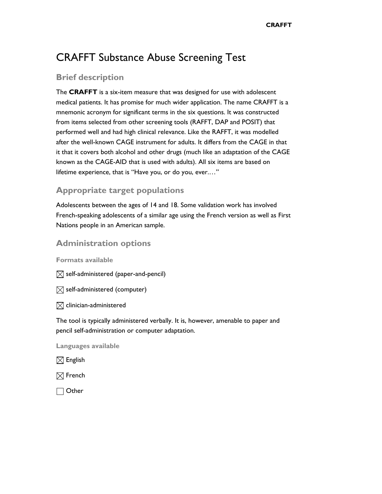# CRAFFT Substance Abuse Screening Test

## **Brief description**

The **CRAFFT** is a six-item measure that was designed for use with adolescent medical patients. It has promise for much wider application. The name CRAFFT is a mnemonic acronym for significant terms in the six questions. It was constructed from items selected from other screening tools (RAFFT, DAP and POSIT) that performed well and had high clinical relevance. Like the RAFFT, it was modelled after the well-known CAGE instrument for adults. It differs from the CAGE in that it that it covers both alcohol and other drugs (much like an adaptation of the CAGE known as the CAGE-AID that is used with adults). All six items are based on lifetime experience, that is "Have you, or do you, ever.…"

# **Appropriate target populations**

Adolescents between the ages of 14 and 18. Some validation work has involved French-speaking adolescents of a similar age using the French version as well as First Nations people in an American sample.

### **Administration options**

**Formats available** 

 $\boxtimes$  self-administered (paper-and-pencil)

 $\boxtimes$  self-administered (computer)

 $\boxtimes$  clinician-administered

The tool is typically administered verbally. It is, however, amenable to paper and pencil self-administration or computer adaptation.

**Languages available** 

 $\boxtimes$  English

 $\boxtimes$  French

□ Other